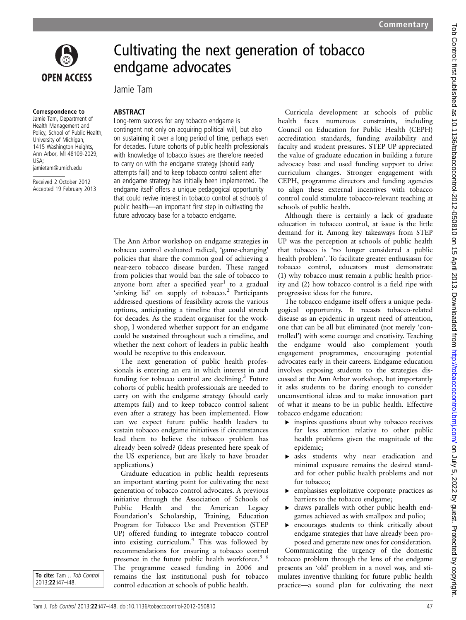

# Cultivating the next generation of tobacco endgame advocates

Jamie Tam

#### Correspondence to

Jamie Tam, Department of Health Management and Policy, School of Public Health, University of Michigan, 1415 Washington Heights, Ann Arbor, MI 48109-2029, USA; jamietam@umich.edu

Received 2 October 2012 Accepted 19 February 2013

## **ABSTRACT** Long-term success for any tobacco endgame is contingent not only on acquiring political will, but also on sustaining it over a long period of time, perhaps even for decades. Future cohorts of public health professionals with knowledge of tobacco issues are therefore needed

to carry on with the endgame strategy (should early attempts fail) and to keep tobacco control salient after an endgame strategy has initially been implemented. The endgame itself offers a unique pedagogical opportunity that could revive interest in tobacco control at schools of public health—an important first step in cultivating the future advocacy base for a tobacco endgame.

The Ann Arbor workshop on endgame strategies in tobacco control evaluated radical, 'game-changing' policies that share the common goal of achieving a near-zero tobacco disease burden. These ranged from policies that would ban the sale of tobacco to anyone born after a specified  $year<sup>1</sup>$  to a gradual 'sinking lid' on supply of tobacco.<sup>2</sup> Participants addressed questions of feasibility across the various options, anticipating a timeline that could stretch for decades. As the student organiser for the workshop, I wondered whether support for an endgame could be sustained throughout such a timeline, and whether the next cohort of leaders in public health would be receptive to this endeavour.

The next generation of public health professionals is entering an era in which interest in and funding for tobacco control are declining. $3$  Future cohorts of public health professionals are needed to carry on with the endgame strategy (should early attempts fail) and to keep tobacco control salient even after a strategy has been implemented. How can we expect future public health leaders to sustain tobacco endgame initiatives if circumstances lead them to believe the tobacco problem has already been solved? (Ideas presented here speak of the US experience, but are likely to have broader applications.)

Graduate education in public health represents an important starting point for cultivating the next generation of tobacco control advocates. A previous initiative through the Association of Schools of Public Health and the American Legacy Foundation's Scholarship, Training, Education Program for Tobacco Use and Prevention (STEP UP) offered funding to integrate tobacco control into existing curriculum.<sup>4</sup> This was followed by recommendations for ensuring a tobacco control presence in the future public health workforce.<sup>5 6</sup> The programme ceased funding in 2006 and remains the last institutional push for tobacco control education at schools of public health.

Curricula development at schools of public health faces numerous constraints, including Council on Education for Public Health (CEPH) accreditation standards, funding availability and faculty and student pressures. STEP UP appreciated the value of graduate education in building a future advocacy base and used funding support to drive curriculum changes. Stronger engagement with CEPH, programme directors and funding agencies to align these external incentives with tobacco control could stimulate tobacco-relevant teaching at schools of public health.

Although there is certainly a lack of graduate education in tobacco control, at issue is the little demand for it. Among key takeaways from STEP UP was the perception at schools of public health that tobacco is 'no longer considered a public health problem'. To facilitate greater enthusiasm for tobacco control, educators must demonstrate (1) why tobacco must remain a public health priority and (2) how tobacco control is a field ripe with progressive ideas for the future.

The tobacco endgame itself offers a unique pedagogical opportunity. It recasts tobacco-related disease as an epidemic in urgent need of attention, one that can be all but eliminated (not merely 'controlled') with some courage and creativity. Teaching the endgame would also complement youth engagement programmes, encouraging potential advocates early in their careers. Endgame education involves exposing students to the strategies discussed at the Ann Arbor workshop, but importantly it asks students to be daring enough to consider unconventional ideas and to make innovation part of what it means to be in public health. Effective tobacco endgame education:

- ▸ inspires questions about why tobacco receives far less attention relative to other public health problems given the magnitude of the epidemic;
- ▸ asks students why near eradication and minimal exposure remains the desired standard for other public health problems and not for tobacco;
- ▸ emphasises exploitative corporate practices as barriers to the tobacco endgame;
- ▸ draws parallels with other public health endgames achieved as with smallpox and polio;
- ▸ encourages students to think critically about endgame strategies that have already been proposed and generate new ones for consideration.

Communicating the urgency of the domestic tobacco problem through the lens of the endgame presents an 'old' problem in a novel way, and stimulates inventive thinking for future public health practice—a sound plan for cultivating the next

To cite: Tam J. Tob Control 2013;22:i47–i48.